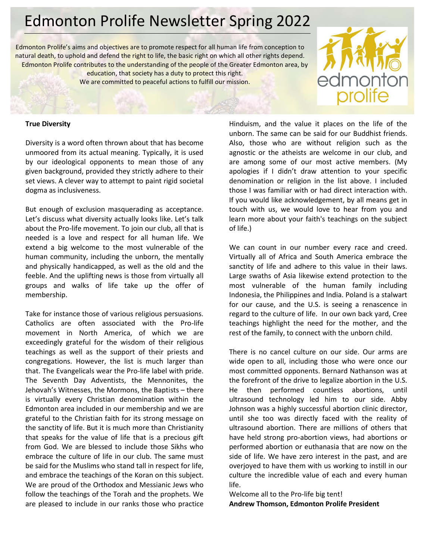# Edmonton Prolife Newsletter Spring 2022

Edmonton Prolife's aims and objectives are to promote respect for all human life from conception to natural death, to uphold and defend the right to life, the basic right on which all other rights depend. Edmonton Prolife contributes to the understanding of the people of the Greater Edmonton area, by education, that society has a duty to protect this right. We are committed to peaceful actions to fulfill our mission.



#### **True Diversity**

Diversity is a word often thrown about that has become unmoored from its actual meaning. Typically, it is used by our ideological opponents to mean those of any given background, provided they strictly adhere to their set views. A clever way to attempt to paint rigid societal dogma as inclusiveness.

But enough of exclusion masquerading as acceptance. Let's discuss what diversity actually looks like. Let's talk about the Pro-life movement. To join our club, all that is needed is a love and respect for all human life. We extend a big welcome to the most vulnerable of the human community, including the unborn, the mentally and physically handicapped, as well as the old and the feeble. And the uplifting news is those from virtually all groups and walks of life take up the offer of membership.

Take for instance those of various religious persuasions. Catholics are often associated with the Pro-life movement in North America, of which we are exceedingly grateful for the wisdom of their religious teachings as well as the support of their priests and congregations. However, the list is much larger than that. The Evangelicals wear the Pro-life label with pride. The Seventh Day Adventists, the Mennonites, the Jehovah's Witnesses, the Mormons, the Baptists – there is virtually every Christian denomination within the Edmonton area included in our membership and we are grateful to the Christian faith for its strong message on the sanctity of life. But it is much more than Christianity that speaks for the value of life that is a precious gift from God. We are blessed to include those Sikhs who embrace the culture of life in our club. The same must be said for the Muslims who stand tall in respect for life, and embrace the teachings of the Koran on this subject. We are proud of the Orthodox and Messianic Jews who follow the teachings of the Torah and the prophets. We are pleased to include in our ranks those who practice Hinduism, and the value it places on the life of the unborn. The same can be said for our Buddhist friends. Also, those who are without religion such as the agnostic or the atheists are welcome in our club, and are among some of our most active members. (My apologies if I didn't draw attention to your specific denomination or religion in the list above. I included those I was familiar with or had direct interaction with. If you would like acknowledgement, by all means get in touch with us, we would love to hear from you and learn more about your faith's teachings on the subject of life.)

We can count in our number every race and creed. Virtually all of Africa and South America embrace the sanctity of life and adhere to this value in their laws. Large swaths of Asia likewise extend protection to the most vulnerable of the human family including Indonesia, the Philippines and India. Poland is a stalwart for our cause, and the U.S. is seeing a renascence in regard to the culture of life. In our own back yard, Cree teachings highlight the need for the mother, and the rest of the family, to connect with the unborn child.

There is no cancel culture on our side. Our arms are wide open to all, including those who were once our most committed opponents. Bernard Nathanson was at the forefront of the drive to legalize abortion in the U.S. He then performed countless abortions, until ultrasound technology led him to our side. Abby Johnson was a highly successful abortion clinic director, until she too was directly faced with the reality of ultrasound abortion. There are millions of others that have held strong pro-abortion views, had abortions or performed abortion or euthanasia that are now on the side of life. We have zero interest in the past, and are overjoyed to have them with us working to instill in our culture the incredible value of each and every human life.

Welcome all to the Pro-life big tent! **Andrew Thomson, Edmonton Prolife President**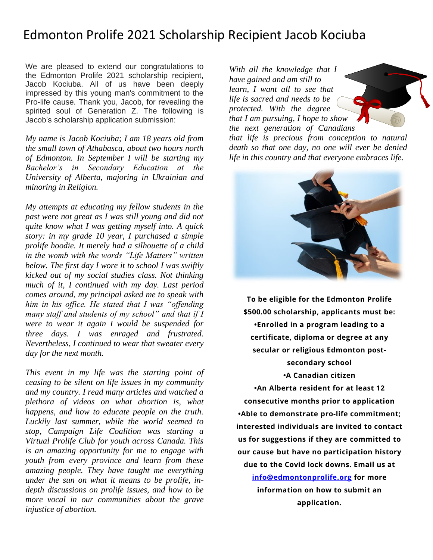## Edmonton Prolife 2021 Scholarship Recipient Jacob Kociuba

We are pleased to extend our congratulations to the Edmonton Prolife 2021 scholarship recipient, Jacob Kociuba. All of us have been deeply impressed by this young man's commitment to the Pro-life cause. Thank you, Jacob, for revealing the spirited soul of Generation Z. The following is Jacob's scholarship application submission:

*My name is Jacob Kociuba; I am 18 years old from the small town of Athabasca, about two hours north of Edmonton. In September I will be starting my Bachelor's in Secondary Education at the University of Alberta, majoring in Ukrainian and minoring in Religion.*

*My attempts at educating my fellow students in the past were not great as I was still young and did not quite know what I was getting myself into. A quick story: in my grade 10 year, I purchased a simple prolife hoodie. It merely had a silhouette of a child in the womb with the words "Life Matters" written below. The first day I wore it to school I was swiftly kicked out of my social studies class. Not thinking much of it, I continued with my day. Last period comes around, my principal asked me to speak with him in his office. He stated that I was "offending many staff and students of my school" and that if I were to wear it again I would be suspended for three days. I was enraged and frustrated. Nevertheless, I continued to wear that sweater every day for the next month.*

*This event in my life was the starting point of ceasing to be silent on life issues in my community and my country. I read many articles and watched a plethora of videos on what abortion is, what happens, and how to educate people on the truth. Luckily last summer, while the world seemed to stop, Campaign Life Coalition was starting a Virtual Prolife Club for youth across Canada. This is an amazing opportunity for me to engage with youth from every province and learn from these amazing people. They have taught me everything under the sun on what it means to be prolife, indepth discussions on prolife issues, and how to be more vocal in our communities about the grave injustice of abortion.*

*With all the knowledge that I have gained and am still to learn, I want all to see that life is sacred and needs to be protected. With the degree that I am pursuing, I hope to show the next generation of Canadians* 

*that life is precious from conception to natural death so that one day, no one will ever be denied life in this country and that everyone embraces life.*



**To be eligible for the Edmonton Prolife \$500.00 scholarship, applicants must be: •Enrolled in a program leading to a certificate, diploma or degree at any secular or religious Edmonton postsecondary school •A Canadian citizen**

**•An Alberta resident for at least 12 consecutive months prior to application •Able to demonstrate pro-life commitment; interested individuals are invited to contact us for suggestions if they are committed to our cause but have no participation history due to the Covid lock downs. Email us at [info@edmontonprolife.org](mailto:info@edmontonprolife.org) for more information on how to submit an**

**application.**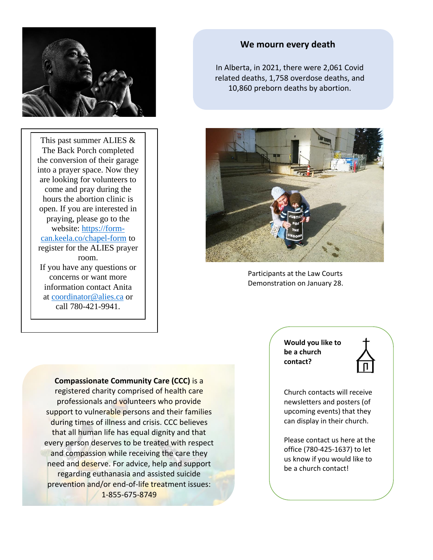

This past summer ALIES & The Back Porch completed the conversion of their garage into a prayer space. Now they are looking for volunteers to come and pray during the hours the abortion clinic is open. If you are interested in praying, please go to the website: [https://form](https://form-can.keela.co/chapel-form)[can.keela.co/chapel-form](https://form-can.keela.co/chapel-form) to register for the ALIES prayer room. If you have any questions or concerns or want more information contact Anita at [coordinator@alies.ca](javascript:void(0);) or call 780-421-9941.

**We mourn every death**

In Alberta, in 2021, there were 2,061 Covid related deaths, 1,758 overdose deaths, and 10,860 preborn deaths by abortion.



Participants at the Law Courts Demonstration on January 28.

**Compassionate Community Care (CCC)** is a registered charity comprised of health care professionals and volunteers who provide support to vulnerable persons and their families during times of illness and crisis. CCC believes that all human life has equal dignity and that every person deserves to be treated with respect and compassion while receiving the care they need and deserve. For advice, help and support regarding euthanasia and assisted suicide prevention and/or end-of-life treatment issues: 1-855-675-8749

**Would you like to be a church contact?**



Church contacts will receive newsletters and posters (of upcoming events) that they can display in their church.

Please contact us here at the office (780-425-1637) to let us know if you would like to be a church contact!